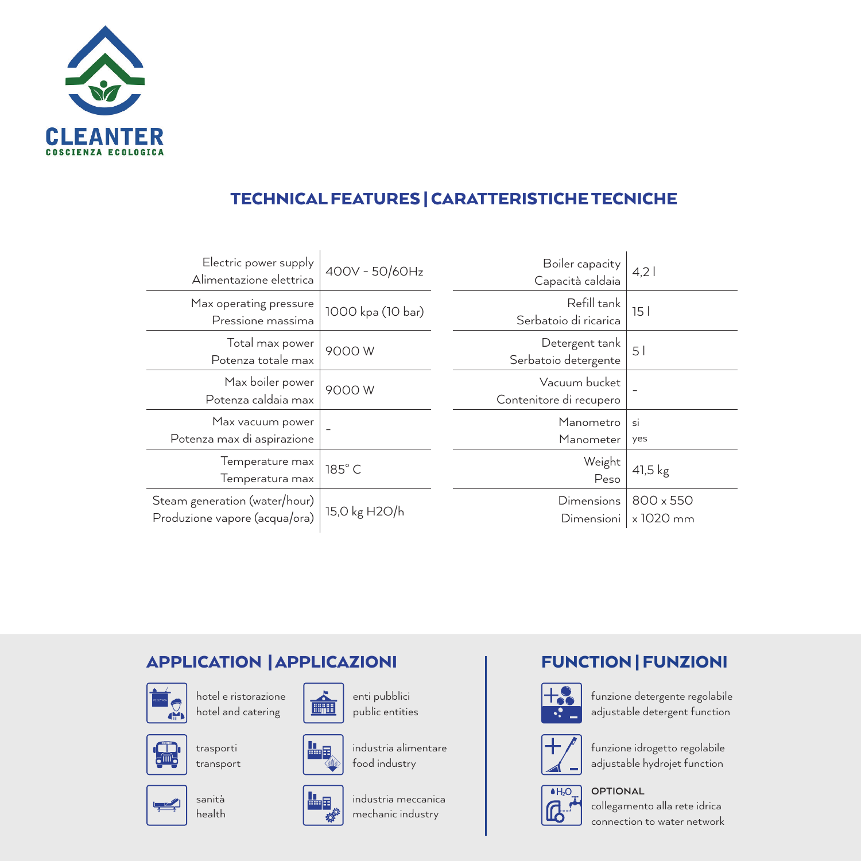

## TECHNICAL FEATURES | CARATTERISTICHE TECNICHE

| Electric power supply<br>Alimentazione elettrica               | 400V - 50/60Hz    | Boiler capacity<br>Capacità caldaia      | 4,2                    |
|----------------------------------------------------------------|-------------------|------------------------------------------|------------------------|
| Max operating pressure<br>Pressione massima                    | 1000 kpa (10 bar) | Refill tank<br>Serbatoio di ricarica     | 151                    |
| Total max power<br>Potenza totale max                          | 9000W             | Detergent tank<br>Serbatoio detergente   | 5                      |
| Max boiler power<br>Potenza caldaia max                        | 9000W             | Vacuum bucket<br>Contenitore di recupero |                        |
| Max vacuum power<br>Potenza max di aspirazione                 |                   | Manometro<br>Manometer                   | si<br>yes              |
| Temperature max<br>Temperatura max                             | 185°C             | Weight<br>Peso                           | $41,5$ kg              |
| Steam generation (water/hour)<br>Produzione vapore (acqua/ora) | 15,0 kg H2O/h     | Dimensions<br>Dimensioni                 | 800 x 550<br>x 1020 mm |

### APPLICATION | APPLICAZIONI



hotel e ristorazione hotel and catering



trasporti transport



sanità health



enti pubblici public entities



industria alimentare food industry



industria meccanica mechanic industry

#### FUNCTION | FUNZIONI



funzione detergente regolabile adjustable detergent function



funzione idrogetto regolabile adjustable hydrojet function



#### **OPTIONAL**

collegamento alla rete idrica connection to water network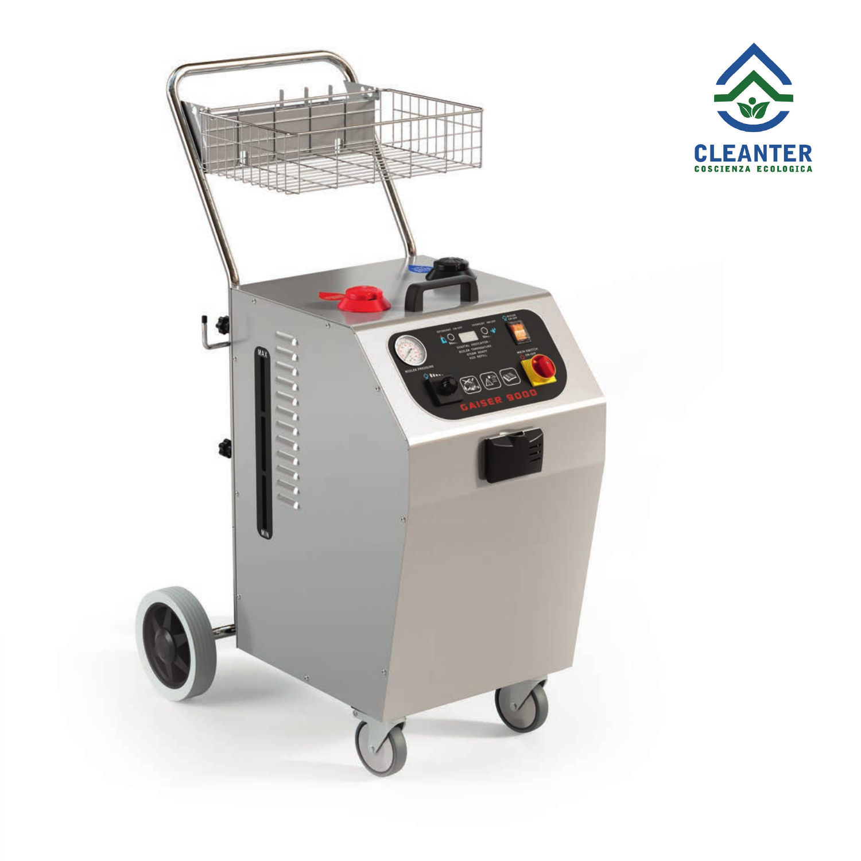

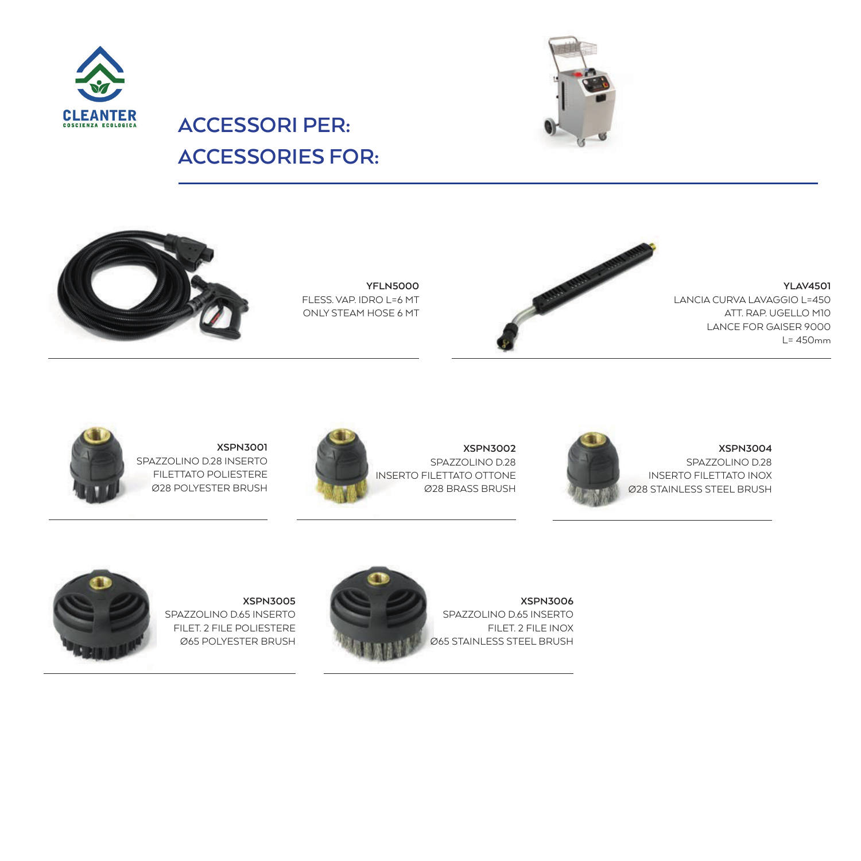



# **ACCESSORI PER: ACCESSORIES FOR:**







**YLAV4501** LANCIA CURVA LAVAGGIO L=450 ATT. RAP. UGELLO M10 LANCE FOR GAISER 9000 L= 450mm



**XSPN3001** SPAZZOLINO D.28 INSERTO FILETTATO POLIESTERE Ø28 POLYESTER BRUSH



**XSPN3002** SPAZZOLINO D.28 INSERTO FILETTATO OTTONE Ø28 BRASS BRUSH



**XSPN3004** SPAZZOLINO D.28 INSERTO FILETTATO INOX Ø28 STAINLESS STEEL BRUSH



**XSPN3005** SPAZZOLINO D.65 INSERTO FILET. 2 FILE POLIESTERE Ø65 POLYESTER BRUSH



**XSPN3006** SPAZZOLINO D.65 INSERTO FILET. 2 FILE INOX Ø65 STAINLESS STEEL BRUSH